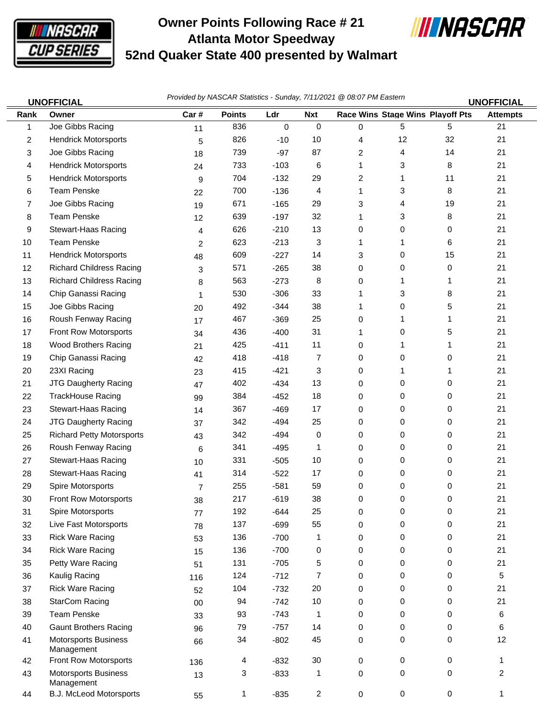

Management

Management

## **Owner Points Following Race # 21 Atlanta Motor Speedway 52nd Quaker State 400 presented by Walmart**



| <b>UNOFFICIAL</b> |                                  |      | Provided by NASCAR Statistics - Sunday, 7/11/2021 @ 08:07 PM Eastern |        |              |             |                                  |    |                 |
|-------------------|----------------------------------|------|----------------------------------------------------------------------|--------|--------------|-------------|----------------------------------|----|-----------------|
| Rank              | Owner                            | Car# | <b>Points</b>                                                        | Ldr    | <b>Nxt</b>   |             | Race Wins Stage Wins Playoff Pts |    | <b>Attempts</b> |
| 1                 | Joe Gibbs Racing                 | 11   | 836                                                                  | 0      | $\mathbf 0$  | $\mathbf 0$ | 5                                | 5  | 21              |
| 2                 | <b>Hendrick Motorsports</b>      | 5    | 826                                                                  | $-10$  | 10           | 4           | 12                               | 32 | 21              |
| 3                 | Joe Gibbs Racing                 | 18   | 739                                                                  | $-97$  | 87           | 2           | 4                                | 14 | 21              |
| 4                 | <b>Hendrick Motorsports</b>      | 24   | 733                                                                  | $-103$ | 6            | 1           | 3                                | 8  | 21              |
| 5                 | <b>Hendrick Motorsports</b>      | 9    | 704                                                                  | $-132$ | 29           | 2           | 1                                | 11 | 21              |
| 6                 | <b>Team Penske</b>               | 22   | 700                                                                  | $-136$ | 4            | 1           | 3                                | 8  | 21              |
| 7                 | Joe Gibbs Racing                 | 19   | 671                                                                  | $-165$ | 29           | 3           | 4                                | 19 | 21              |
| 8                 | <b>Team Penske</b>               | 12   | 639                                                                  | $-197$ | 32           | 1           | 3                                | 8  | 21              |
| 9                 | <b>Stewart-Haas Racing</b>       | 4    | 626                                                                  | $-210$ | 13           | 0           | 0                                | 0  | 21              |
| 10                | <b>Team Penske</b>               | 2    | 623                                                                  | $-213$ | 3            | 1           | 1                                | 6  | 21              |
| 11                | <b>Hendrick Motorsports</b>      | 48   | 609                                                                  | $-227$ | 14           | 3           | 0                                | 15 | 21              |
| 12                | <b>Richard Childress Racing</b>  | 3    | 571                                                                  | $-265$ | 38           | 0           | 0                                | 0  | 21              |
| 13                | <b>Richard Childress Racing</b>  | 8    | 563                                                                  | $-273$ | 8            | 0           | 1                                | 1  | 21              |
| 14                | Chip Ganassi Racing              | 1    | 530                                                                  | $-306$ | 33           | 1           | 3                                | 8  | 21              |
| 15                | Joe Gibbs Racing                 | 20   | 492                                                                  | $-344$ | 38           | 1           | 0                                | 5  | 21              |
| 16                | Roush Fenway Racing              | 17   | 467                                                                  | $-369$ | 25           | 0           | 1                                | 1  | 21              |
| 17                | Front Row Motorsports            | 34   | 436                                                                  | $-400$ | 31           | 1           | 0                                | 5  | 21              |
| 18                | <b>Wood Brothers Racing</b>      | 21   | 425                                                                  | $-411$ | 11           | 0           | 1                                | 1  | 21              |
| 19                | Chip Ganassi Racing              | 42   | 418                                                                  | $-418$ | 7            | 0           | 0                                | 0  | 21              |
| 20                | 23XI Racing                      | 23   | 415                                                                  | $-421$ | 3            | 0           | 1                                | 1  | 21              |
| 21                | JTG Daugherty Racing             | 47   | 402                                                                  | $-434$ | 13           | 0           | 0                                | 0  | 21              |
| 22                | <b>TrackHouse Racing</b>         | 99   | 384                                                                  | $-452$ | 18           | 0           | 0                                | 0  | 21              |
| 23                | <b>Stewart-Haas Racing</b>       | 14   | 367                                                                  | $-469$ | 17           | 0           | 0                                | 0  | 21              |
| 24                | JTG Daugherty Racing             | 37   | 342                                                                  | $-494$ | 25           | 0           | 0                                | 0  | 21              |
| 25                | <b>Richard Petty Motorsports</b> | 43   | 342                                                                  | $-494$ | 0            | 0           | 0                                | 0  | 21              |
| 26                | Roush Fenway Racing              | 6    | 341                                                                  | $-495$ | 1            | 0           | 0                                | 0  | 21              |
| 27                | Stewart-Haas Racing              | 10   | 331                                                                  | $-505$ | 10           | 0           | 0                                | 0  | 21              |
| 28                | <b>Stewart-Haas Racing</b>       | 41   | 314                                                                  | $-522$ | 17           | 0           | 0                                | 0  | 21              |
| 29                | Spire Motorsports                | 7    | 255                                                                  | $-581$ | 59           | 0           | 0                                | 0  | 21              |
| 30                | Front Row Motorsports            | 38   | 217                                                                  | $-619$ | 38           | 0           | 0                                | 0  | 21              |
| 31                | Spire Motorsports                | 77   | 192                                                                  | $-644$ | 25           | 0           | 0                                | 0  | 21              |
| 32                | Live Fast Motorsports            | 78   | 137                                                                  | $-699$ | 55           | 0           | 0                                | 0  | 21              |
| 33                | <b>Rick Ware Racing</b>          | 53   | 136                                                                  | $-700$ | $\mathbf{1}$ | 0           | 0                                | 0  | 21              |
| 34                | <b>Rick Ware Racing</b>          | 15   | 136                                                                  | $-700$ | 0            | 0           | 0                                | 0  | 21              |
| 35                | Petty Ware Racing                | 51   | 131                                                                  | $-705$ | 5            | 0           | 0                                | 0  | 21              |

 Kaulig Racing 116 124 -712 7 0 0 0 5 37 Rick Ware Racing 20 104 -732 20 0 0 0 21 38 StarCom Racing 00 0 94 -742 10 0 0 0 0 21 Team Penske 33 93 -743 1 0 0 0 6 40 Gaunt Brothers Racing 0 96 79 -757 14 0 0 0 0 6 41 Motorsports Business 66 34 -802 45 0 0 0 12

 Front Row Motorsports 136 4 -832 30 0 0 0 1 43 Motorsports Business 13 3 -833 1 0 0 0 2

44 B.J. McLeod Motorsports 55 1 -835 2 0 0 0 1

34 -802 45 0 0 0

3 -833 1 0 0 0